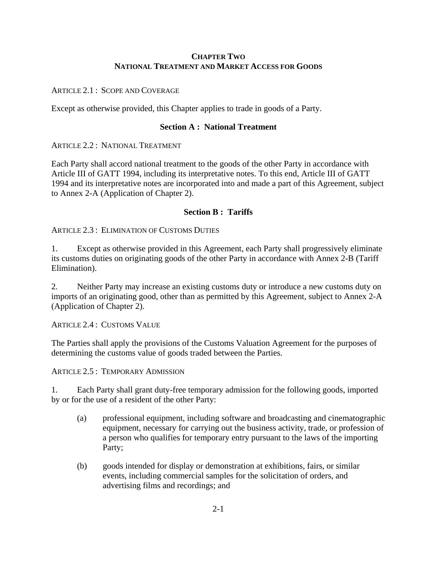### **CHAPTER TWO NATIONAL TREATMENT AND MARKET ACCESS FOR GOODS**

### ARTICLE 2.1 : SCOPE AND COVERAGE

Except as otherwise provided, this Chapter applies to trade in goods of a Party.

#### **Section A : National Treatment**

ARTICLE 2.2 : NATIONAL TREATMENT

Each Party shall accord national treatment to the goods of the other Party in accordance with Article III of GATT 1994, including its interpretative notes. To this end, Article III of GATT 1994 and its interpretative notes are incorporated into and made a part of this Agreement, subject to Annex 2-A (Application of Chapter 2).

#### **Section B : Tariffs**

ARTICLE 2.3 : ELIMINATION OF CUSTOMS DUTIES

1. Except as otherwise provided in this Agreement, each Party shall progressively eliminate its customs duties on originating goods of the other Party in accordance with Annex 2-B (Tariff Elimination).

2. Neither Party may increase an existing customs duty or introduce a new customs duty on imports of an originating good, other than as permitted by this Agreement, subject to Annex 2-A (Application of Chapter 2).

ARTICLE 2.4 : CUSTOMS VALUE

The Parties shall apply the provisions of the Customs Valuation Agreement for the purposes of determining the customs value of goods traded between the Parties.

ARTICLE 2.5 : TEMPORARY ADMISSION

1. Each Party shall grant duty-free temporary admission for the following goods, imported by or for the use of a resident of the other Party:

- (a) professional equipment, including software and broadcasting and cinematographic equipment, necessary for carrying out the business activity, trade, or profession of a person who qualifies for temporary entry pursuant to the laws of the importing Party;
- (b) goods intended for display or demonstration at exhibitions, fairs, or similar events, including commercial samples for the solicitation of orders, and advertising films and recordings; and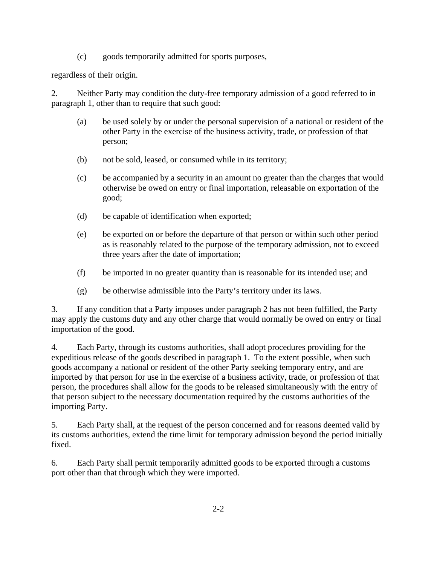(c) goods temporarily admitted for sports purposes,

regardless of their origin.

2. Neither Party may condition the duty-free temporary admission of a good referred to in paragraph 1, other than to require that such good:

- (a) be used solely by or under the personal supervision of a national or resident of the other Party in the exercise of the business activity, trade, or profession of that person;
- (b) not be sold, leased, or consumed while in its territory;
- (c) be accompanied by a security in an amount no greater than the charges that would otherwise be owed on entry or final importation, releasable on exportation of the good;
- (d) be capable of identification when exported;
- (e) be exported on or before the departure of that person or within such other period as is reasonably related to the purpose of the temporary admission, not to exceed three years after the date of importation;
- (f) be imported in no greater quantity than is reasonable for its intended use; and
- (g) be otherwise admissible into the Party's territory under its laws.

3. If any condition that a Party imposes under paragraph 2 has not been fulfilled, the Party may apply the customs duty and any other charge that would normally be owed on entry or final importation of the good.

4. Each Party, through its customs authorities, shall adopt procedures providing for the expeditious release of the goods described in paragraph 1. To the extent possible, when such goods accompany a national or resident of the other Party seeking temporary entry, and are imported by that person for use in the exercise of a business activity, trade, or profession of that person, the procedures shall allow for the goods to be released simultaneously with the entry of that person subject to the necessary documentation required by the customs authorities of the importing Party.

5. Each Party shall, at the request of the person concerned and for reasons deemed valid by its customs authorities, extend the time limit for temporary admission beyond the period initially fixed.

6. Each Party shall permit temporarily admitted goods to be exported through a customs port other than that through which they were imported.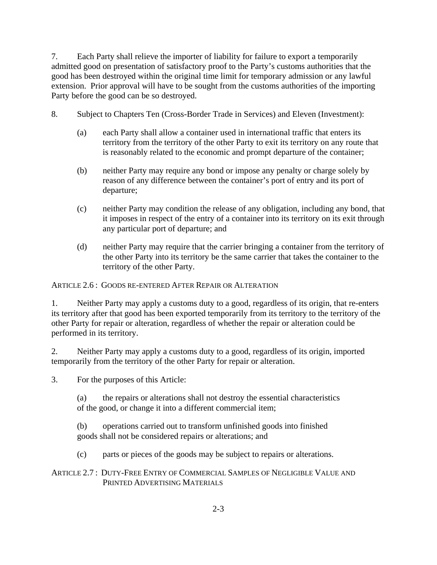7. Each Party shall relieve the importer of liability for failure to export a temporarily admitted good on presentation of satisfactory proof to the Party's customs authorities that the good has been destroyed within the original time limit for temporary admission or any lawful extension. Prior approval will have to be sought from the customs authorities of the importing Party before the good can be so destroyed.

- 8. Subject to Chapters Ten (Cross-Border Trade in Services) and Eleven (Investment):
	- (a) each Party shall allow a container used in international traffic that enters its territory from the territory of the other Party to exit its territory on any route that is reasonably related to the economic and prompt departure of the container;
	- (b) neither Party may require any bond or impose any penalty or charge solely by reason of any difference between the container's port of entry and its port of departure;
	- (c) neither Party may condition the release of any obligation, including any bond, that it imposes in respect of the entry of a container into its territory on its exit through any particular port of departure; and
	- (d) neither Party may require that the carrier bringing a container from the territory of the other Party into its territory be the same carrier that takes the container to the territory of the other Party.

ARTICLE 2.6 : GOODS RE-ENTERED AFTER REPAIR OR ALTERATION

1. Neither Party may apply a customs duty to a good, regardless of its origin, that re-enters its territory after that good has been exported temporarily from its territory to the territory of the other Party for repair or alteration, regardless of whether the repair or alteration could be performed in its territory.

2. Neither Party may apply a customs duty to a good, regardless of its origin, imported temporarily from the territory of the other Party for repair or alteration.

3. For the purposes of this Article:

 (a) the repairs or alterations shall not destroy the essential characteristics of the good, or change it into a different commercial item;

 (b) operations carried out to transform unfinished goods into finished goods shall not be considered repairs or alterations; and

(c) parts or pieces of the goods may be subject to repairs or alterations.

ARTICLE 2.7 : DUTY-FREE ENTRY OF COMMERCIAL SAMPLES OF NEGLIGIBLE VALUE AND PRINTED ADVERTISING MATERIALS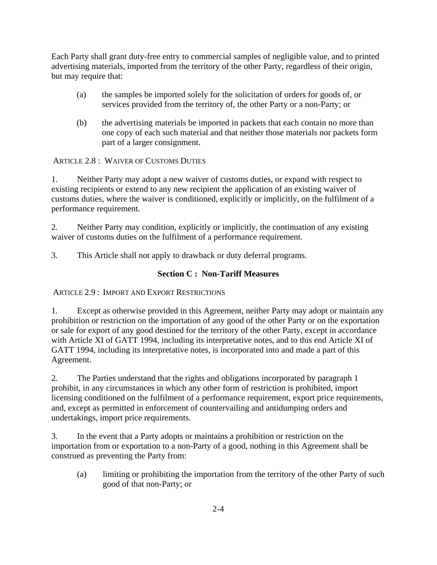Each Party shall grant duty-free entry to commercial samples of negligible value, and to printed advertising materials, imported from the territory of the other Party, regardless of their origin, but may require that:

- (a) the samples be imported solely for the solicitation of orders for goods of, or services provided from the territory of, the other Party or a non-Party; or
- (b) the advertising materials be imported in packets that each contain no more than one copy of each such material and that neither those materials nor packets form part of a larger consignment.

ARTICLE 2.8 : WAIVER OF CUSTOMS DUTIES

1. Neither Party may adopt a new waiver of customs duties, or expand with respect to existing recipients or extend to any new recipient the application of an existing waiver of customs duties, where the waiver is conditioned, explicitly or implicitly, on the fulfilment of a performance requirement.

2. Neither Party may condition, explicitly or implicitly, the continuation of any existing waiver of customs duties on the fulfilment of a performance requirement.

3. This Article shall not apply to drawback or duty deferral programs.

# **Section C : Non-Tariff Measures**

ARTICLE 2.9 : IMPORT AND EXPORT RESTRICTIONS

1. Except as otherwise provided in this Agreement, neither Party may adopt or maintain any prohibition or restriction on the importation of any good of the other Party or on the exportation or sale for export of any good destined for the territory of the other Party, except in accordance with Article XI of GATT 1994, including its interpretative notes, and to this end Article XI of GATT 1994, including its interpretative notes, is incorporated into and made a part of this Agreement.

2. The Parties understand that the rights and obligations incorporated by paragraph 1 prohibit, in any circumstances in which any other form of restriction is prohibited, import licensing conditioned on the fulfilment of a performance requirement, export price requirements, and, except as permitted in enforcement of countervailing and antidumping orders and undertakings, import price requirements.

3. In the event that a Party adopts or maintains a prohibition or restriction on the importation from or exportation to a non-Party of a good, nothing in this Agreement shall be construed as preventing the Party from:

(a) limiting or prohibiting the importation from the territory of the other Party of such good of that non-Party; or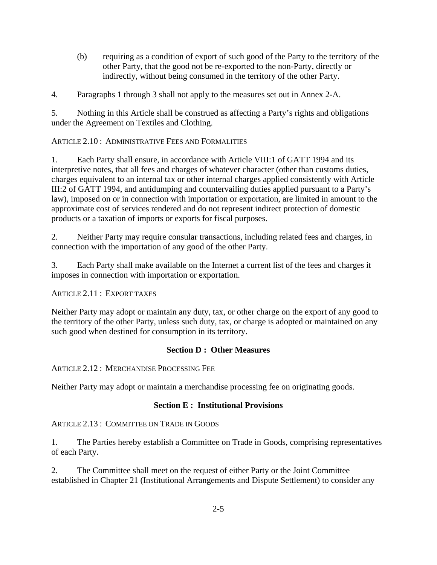(b) requiring as a condition of export of such good of the Party to the territory of the other Party, that the good not be re-exported to the non-Party, directly or indirectly, without being consumed in the territory of the other Party.

4. Paragraphs 1 through 3 shall not apply to the measures set out in Annex 2-A.

5. Nothing in this Article shall be construed as affecting a Party's rights and obligations under the Agreement on Textiles and Clothing.

## ARTICLE 2.10 : ADMINISTRATIVE FEES AND FORMALITIES

1. Each Party shall ensure, in accordance with Article VIII:1 of GATT 1994 and its interpretive notes, that all fees and charges of whatever character (other than customs duties, charges equivalent to an internal tax or other internal charges applied consistently with Article III:2 of GATT 1994, and antidumping and countervailing duties applied pursuant to a Party's law), imposed on or in connection with importation or exportation, are limited in amount to the approximate cost of services rendered and do not represent indirect protection of domestic products or a taxation of imports or exports for fiscal purposes.

2. Neither Party may require consular transactions, including related fees and charges, in connection with the importation of any good of the other Party.

3. Each Party shall make available on the Internet a current list of the fees and charges it imposes in connection with importation or exportation.

ARTICLE 2.11 : EXPORT TAXES

Neither Party may adopt or maintain any duty, tax, or other charge on the export of any good to the territory of the other Party, unless such duty, tax, or charge is adopted or maintained on any such good when destined for consumption in its territory.

## **Section D : Other Measures**

## ARTICLE 2.12 : MERCHANDISE PROCESSING FEE

Neither Party may adopt or maintain a merchandise processing fee on originating goods.

## **Section E : Institutional Provisions**

ARTICLE 2.13 : COMMITTEE ON TRADE IN GOODS

1. The Parties hereby establish a Committee on Trade in Goods, comprising representatives of each Party.

2. The Committee shall meet on the request of either Party or the Joint Committee established in Chapter 21 (Institutional Arrangements and Dispute Settlement) to consider any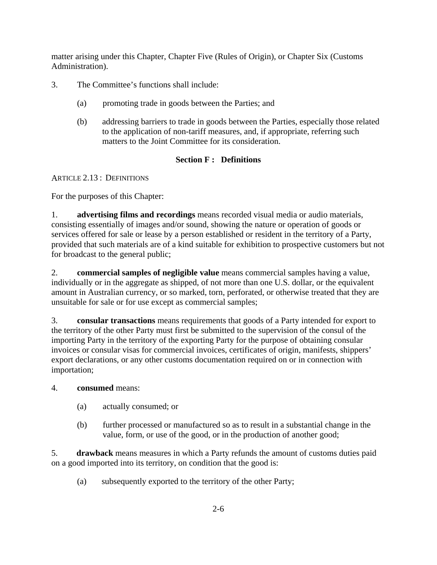matter arising under this Chapter, Chapter Five (Rules of Origin), or Chapter Six (Customs Administration).

- 3. The Committee's functions shall include:
	- (a) promoting trade in goods between the Parties; and
	- (b) addressing barriers to trade in goods between the Parties, especially those related to the application of non-tariff measures, and, if appropriate, referring such matters to the Joint Committee for its consideration.

## **Section F : Definitions**

ARTICLE 2.13 : DEFINITIONS

For the purposes of this Chapter:

1. **advertising films and recordings** means recorded visual media or audio materials, consisting essentially of images and/or sound, showing the nature or operation of goods or services offered for sale or lease by a person established or resident in the territory of a Party, provided that such materials are of a kind suitable for exhibition to prospective customers but not for broadcast to the general public;

2. **commercial samples of negligible value** means commercial samples having a value, individually or in the aggregate as shipped, of not more than one U.S. dollar, or the equivalent amount in Australian currency, or so marked, torn, perforated, or otherwise treated that they are unsuitable for sale or for use except as commercial samples;

3. **consular transactions** means requirements that goods of a Party intended for export to the territory of the other Party must first be submitted to the supervision of the consul of the importing Party in the territory of the exporting Party for the purpose of obtaining consular invoices or consular visas for commercial invoices, certificates of origin, manifests, shippers' export declarations, or any other customs documentation required on or in connection with importation;

## 4. **consumed** means:

- (a) actually consumed; or
- (b) further processed or manufactured so as to result in a substantial change in the value, form, or use of the good, or in the production of another good;

5. **drawback** means measures in which a Party refunds the amount of customs duties paid on a good imported into its territory, on condition that the good is:

(a) subsequently exported to the territory of the other Party;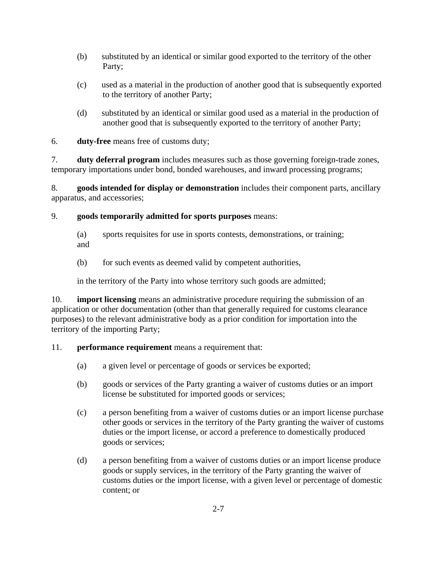- (b) substituted by an identical or similar good exported to the territory of the other Party;
- (c) used as a material in the production of another good that is subsequently exported to the territory of another Party;
- (d) substituted by an identical or similar good used as a material in the production of another good that is subsequently exported to the territory of another Party;

6. **duty-free** means free of customs duty;

7. **duty deferral program** includes measures such as those governing foreign-trade zones, temporary importations under bond, bonded warehouses, and inward processing programs;

8. **goods intended for display or demonstration** includes their component parts, ancillary apparatus, and accessories;

#### 9. **goods temporarily admitted for sports purposes** means:

 (a) sports requisites for use in sports contests, demonstrations, or training; and

(b) for such events as deemed valid by competent authorities,

in the territory of the Party into whose territory such goods are admitted;

10. **import licensing** means an administrative procedure requiring the submission of an application or other documentation (other than that generally required for customs clearance purposes) to the relevant administrative body as a prior condition for importation into the territory of the importing Party;

#### 11. **performance requirement** means a requirement that:

- (a) a given level or percentage of goods or services be exported;
- (b) goods or services of the Party granting a waiver of customs duties or an import license be substituted for imported goods or services;
- (c) a person benefiting from a waiver of customs duties or an import license purchase other goods or services in the territory of the Party granting the waiver of customs duties or the import license, or accord a preference to domestically produced goods or services;
- (d) a person benefiting from a waiver of customs duties or an import license produce goods or supply services, in the territory of the Party granting the waiver of customs duties or the import license, with a given level or percentage of domestic content; or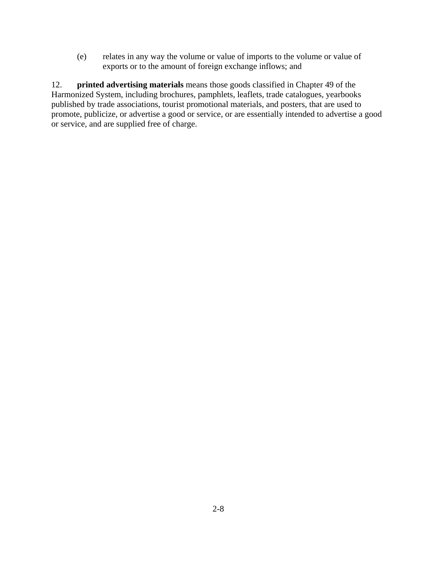(e) relates in any way the volume or value of imports to the volume or value of exports or to the amount of foreign exchange inflows; and

12. **printed advertising materials** means those goods classified in Chapter 49 of the Harmonized System, including brochures, pamphlets, leaflets, trade catalogues, yearbooks published by trade associations, tourist promotional materials, and posters, that are used to promote, publicize, or advertise a good or service, or are essentially intended to advertise a good or service, and are supplied free of charge.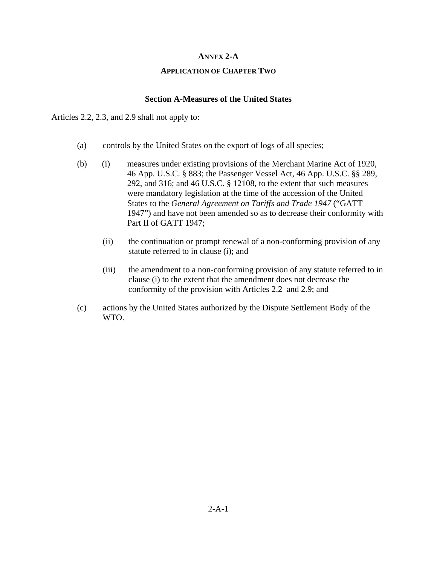### **ANNEX 2-A**

## **APPLICATION OF CHAPTER TWO**

#### **Section A-Measures of the United States**

Articles 2.2, 2.3, and 2.9 shall not apply to:

- (a) controls by the United States on the export of logs of all species;
- (b) (i) measures under existing provisions of the Merchant Marine Act of 1920, 46 App. U.S.C. § 883; the Passenger Vessel Act, 46 App. U.S.C. §§ 289, 292, and 316; and 46 U.S.C. § 12108, to the extent that such measures were mandatory legislation at the time of the accession of the United States to the *General Agreement on Tariffs and Trade 1947* ("GATT 1947") and have not been amended so as to decrease their conformity with Part II of GATT 1947;
	- (ii) the continuation or prompt renewal of a non-conforming provision of any statute referred to in clause (i); and
	- (iii) the amendment to a non-conforming provision of any statute referred to in clause (i) to the extent that the amendment does not decrease the conformity of the provision with Articles 2.2 and 2.9; and
- (c) actions by the United States authorized by the Dispute Settlement Body of the WTO.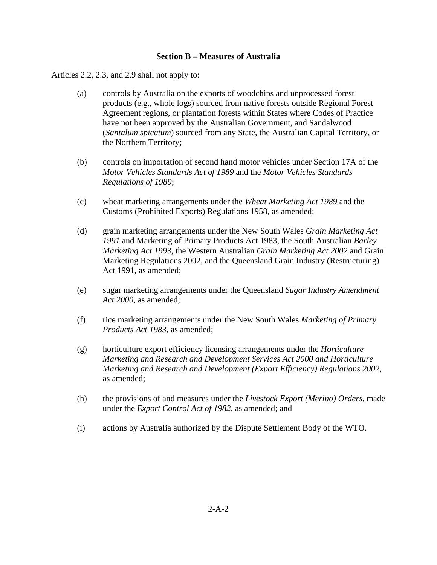### **Section B – Measures of Australia**

Articles 2.2, 2.3, and 2.9 shall not apply to:

- (a) controls by Australia on the exports of woodchips and unprocessed forest products (e.g., whole logs) sourced from native forests outside Regional Forest Agreement regions, or plantation forests within States where Codes of Practice have not been approved by the Australian Government, and Sandalwood (*Santalum spicatum*) sourced from any State, the Australian Capital Territory, or the Northern Territory;
- (b) controls on importation of second hand motor vehicles under Section 17A of the *Motor Vehicles Standards Act of 1989* and the *Motor Vehicles Standards Regulations of 1989*;
- (c) wheat marketing arrangements under the *Wheat Marketing Act 1989* and the Customs (Prohibited Exports) Regulations 1958, as amended;
- (d) grain marketing arrangements under the New South Wales *Grain Marketing Act 1991* and Marketing of Primary Products Act 1983, the South Australian *Barley Marketing Act 1993*, the Western Australian *Grain Marketing Act 2002* and Grain Marketing Regulations 2002, and the Queensland Grain Industry (Restructuring) Act 1991, as amended;
- (e) sugar marketing arrangements under the Queensland *Sugar Industry Amendment Act 2000*, as amended;
- (f) rice marketing arrangements under the New South Wales *Marketing of Primary Products Act 1983*, as amended;
- (g) horticulture export efficiency licensing arrangements under the *Horticulture Marketing and Research and Development Services Act 2000 and Horticulture Marketing and Research and Development (Export Efficiency) Regulations 2002*, as amended;
- (h) the provisions of and measures under the *Livestock Export (Merino) Orders*, made under the *Export Control Act of 1982*, as amended; and
- (i) actions by Australia authorized by the Dispute Settlement Body of the WTO.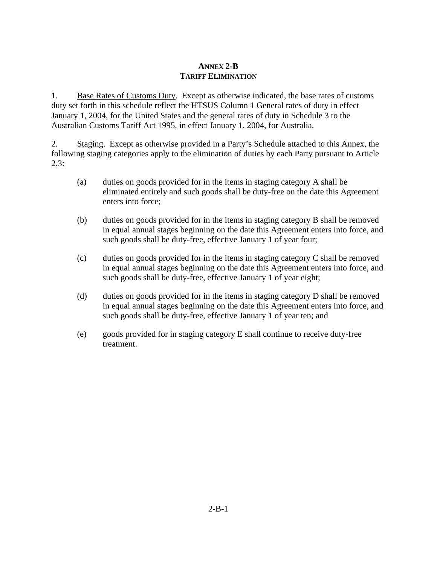# **ANNEX 2-B TARIFF ELIMINATION**

1. Base Rates of Customs Duty. Except as otherwise indicated, the base rates of customs duty set forth in this schedule reflect the HTSUS Column 1 General rates of duty in effect January 1, 2004, for the United States and the general rates of duty in Schedule 3 to the Australian Customs Tariff Act 1995, in effect January 1, 2004, for Australia.

2. Staging. Except as otherwise provided in a Party's Schedule attached to this Annex, the following staging categories apply to the elimination of duties by each Party pursuant to Article 2.3:

- (a) duties on goods provided for in the items in staging category A shall be eliminated entirely and such goods shall be duty-free on the date this Agreement enters into force;
- (b) duties on goods provided for in the items in staging category B shall be removed in equal annual stages beginning on the date this Agreement enters into force, and such goods shall be duty-free, effective January 1 of year four;
- (c) duties on goods provided for in the items in staging category C shall be removed in equal annual stages beginning on the date this Agreement enters into force, and such goods shall be duty-free, effective January 1 of year eight;
- (d) duties on goods provided for in the items in staging category D shall be removed in equal annual stages beginning on the date this Agreement enters into force, and such goods shall be duty-free, effective January 1 of year ten; and
- (e) goods provided for in staging category E shall continue to receive duty-free treatment.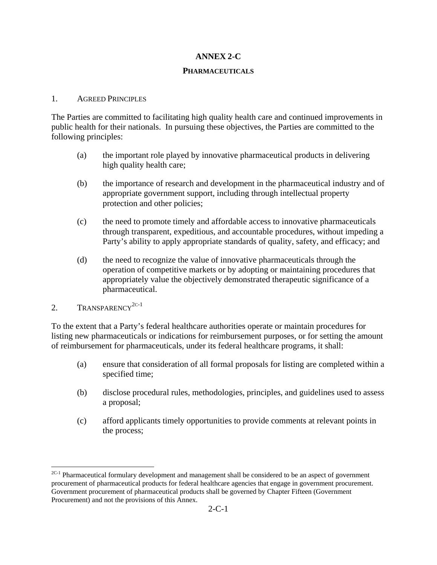### **ANNEX 2-C**

#### **PHARMACEUTICALS**

#### 1. AGREED PRINCIPLES

The Parties are committed to facilitating high quality health care and continued improvements in public health for their nationals. In pursuing these objectives, the Parties are committed to the following principles:

- (a) the important role played by innovative pharmaceutical products in delivering high quality health care;
- (b) the importance of research and development in the pharmaceutical industry and of appropriate government support, including through intellectual property protection and other policies;
- (c) the need to promote timely and affordable access to innovative pharmaceuticals through transparent, expeditious, and accountable procedures, without impeding a Party's ability to apply appropriate standards of quality, safety, and efficacy; and
- (d) the need to recognize the value of innovative pharmaceuticals through the operation of competitive markets or by adopting or maintaining procedures that appropriately value the objectively demonstrated therapeutic significance of a pharmaceutical.

## 2. TRANSPARENCY<sup>2C-1</sup>

To the extent that a Party's federal healthcare authorities operate or maintain procedures for listing new pharmaceuticals or indications for reimbursement purposes, or for setting the amount of reimbursement for pharmaceuticals, under its federal healthcare programs, it shall:

- (a) ensure that consideration of all formal proposals for listing are completed within a specified time;
- (b) disclose procedural rules, methodologies, principles, and guidelines used to assess a proposal;
- (c) afford applicants timely opportunities to provide comments at relevant points in the process;

 $\overline{a}$  $2<sup>2C-1</sup>$  Pharmaceutical formulary development and management shall be considered to be an aspect of government procurement of pharmaceutical products for federal healthcare agencies that engage in government procurement. Government procurement of pharmaceutical products shall be governed by Chapter Fifteen (Government Procurement) and not the provisions of this Annex.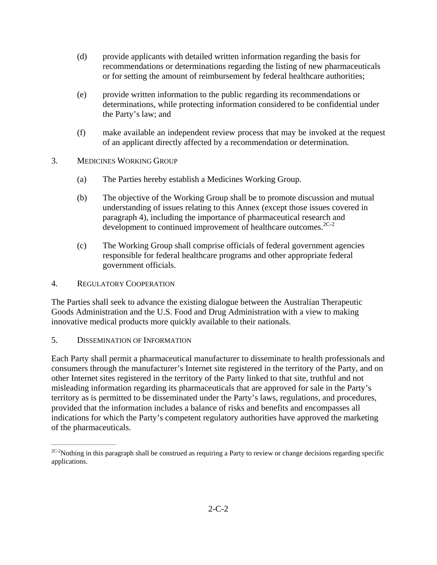- (d) provide applicants with detailed written information regarding the basis for recommendations or determinations regarding the listing of new pharmaceuticals or for setting the amount of reimbursement by federal healthcare authorities;
- (e) provide written information to the public regarding its recommendations or determinations, while protecting information considered to be confidential under the Party's law; and
- (f) make available an independent review process that may be invoked at the request of an applicant directly affected by a recommendation or determination.
- 3. MEDICINES WORKING GROUP
	- (a) The Parties hereby establish a Medicines Working Group.
	- (b) The objective of the Working Group shall be to promote discussion and mutual understanding of issues relating to this Annex (except those issues covered in paragraph 4), including the importance of pharmaceutical research and development to continued improvement of healthcare outcomes.<sup>2C-2</sup>
	- (c) The Working Group shall comprise officials of federal government agencies responsible for federal healthcare programs and other appropriate federal government officials.

# 4. REGULATORY COOPERATION

The Parties shall seek to advance the existing dialogue between the Australian Therapeutic Goods Administration and the U.S. Food and Drug Administration with a view to making innovative medical products more quickly available to their nationals.

# 5. DISSEMINATION OF INFORMATION

 $\frac{1}{2}$  ,  $\frac{1}{2}$  ,  $\frac{1}{2}$  ,  $\frac{1}{2}$  ,  $\frac{1}{2}$  ,  $\frac{1}{2}$  ,  $\frac{1}{2}$  ,  $\frac{1}{2}$  ,  $\frac{1}{2}$  ,  $\frac{1}{2}$  ,  $\frac{1}{2}$  ,  $\frac{1}{2}$  ,  $\frac{1}{2}$  ,  $\frac{1}{2}$  ,  $\frac{1}{2}$  ,  $\frac{1}{2}$  ,  $\frac{1}{2}$  ,  $\frac{1}{2}$  ,  $\frac{1$ 

Each Party shall permit a pharmaceutical manufacturer to disseminate to health professionals and consumers through the manufacturer's Internet site registered in the territory of the Party, and on other Internet sites registered in the territory of the Party linked to that site, truthful and not misleading information regarding its pharmaceuticals that are approved for sale in the Party's territory as is permitted to be disseminated under the Party's laws, regulations, and procedures, provided that the information includes a balance of risks and benefits and encompasses all indications for which the Party's competent regulatory authorities have approved the marketing of the pharmaceuticals.

 $2C-2$ Nothing in this paragraph shall be construed as requiring a Party to review or change decisions regarding specific applications.